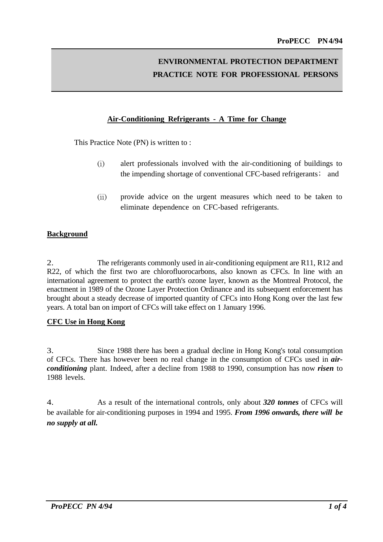# **ENVIRONMENTAL PROTECTION DEPARTMENT PRACTICE NOTE FOR PROFESSIONAL PERSONS**

## **Air-Conditioning Refrigerants - A Time for Change**

This Practice Note (PN) is written to :

- (i) alert professionals involved with the air-conditioning of buildings to the impending shortage of conventional CFC-based refrigerants; and
- (ii) provide advice on the urgent measures which need to be taken to eliminate dependence on CFC-based refrigerants.

## **Background**

2. The refrigerants commonly used in air-conditioning equipment are R11, R12 and R22, of which the first two are chlorofluorocarbons, also known as CFCs. In line with an international agreement to protect the earth's ozone layer, known as the Montreal Protocol, the enactment in 1989 of the Ozone Layer Protection Ordinance and its subsequent enforcement has brought about a steady decrease of imported quantity of CFCs into Hong Kong over the last few years. A total ban on import of CFCs will take effect on 1 January 1996.

#### **CFC Use in Hong Kong**

3. Since 1988 there has been a gradual decline in Hong Kong's total consumption of CFCs. There has however been no real change in the consumption of CFCs used in *airconditioning* plant. Indeed, after a decline from 1988 to 1990, consumption has now *risen* to 1988 levels.

4. As a result of the international controls, only about *320 tonnes* of CFCs will be available for air-conditioning purposes in 1994 and 1995. *From 1996 onwards, there will be no supply at all.*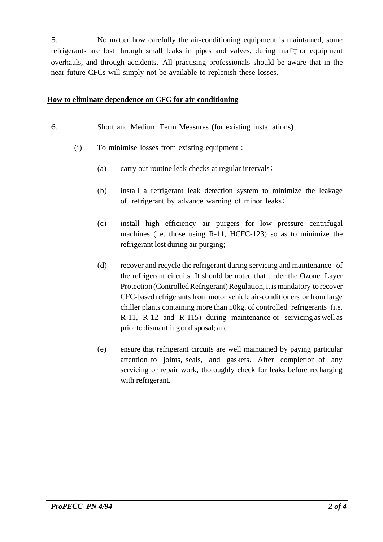5. No matter how carefully the air-conditioning equipment is maintained, some refrigerants are lost through small leaks in pipes and valves, during ma  $\mathbb{I}^+_1$  or equipment overhauls, and through accidents. All practising professionals should be aware that in the near future CFCs will simply not be available to replenish these losses.

## **How to eliminate dependence on CFC for air-conditioning**

## 6. Short and Medium Term Measures (for existing installations)

- (i) To minimise losses from existing equipment :
	- (a) carry out routine leak checks at regular intervals $;$
	- (b) install a refrigerant leak detection system to minimize the leakage of refrigerant by advance warning of minor leaks;
	- (c) install high efficiency air purgers for low pressure centrifugal machines (i.e. those using R-11, HCFC-123) so as to minimize the refrigerant lost during air purging;
	- (d) recover and recycle the refrigerant during servicing and maintenance of the refrigerant circuits. It should be noted that under the Ozone Layer Protection (Controlled Refrigerant) Regulation, it is mandatory to recover CFC-based refrigerants from motor vehicle air-conditioners or from large chiller plants containing more than 50kg. of controlled refrigerants (i.e. R-11, R-12 and R-115) during maintenance or servicing as well as priorto dismantling or disposal; and
	- (e) ensure that refrigerant circuits are well maintained by paying particular attention to joints, seals, and gaskets. After completion of any servicing or repair work, thoroughly check for leaks before recharging with refrigerant.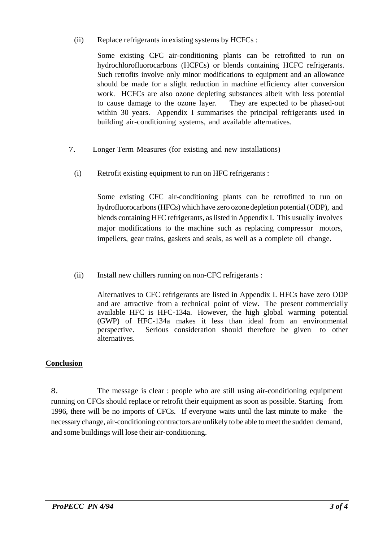(ii) Replace refrigerants in existing systems by HCFCs :

Some existing CFC air-conditioning plants can be retrofitted to run on hydrochlorofluorocarbons (HCFCs) or blends containing HCFC refrigerants. Such retrofits involve only minor modifications to equipment and an allowance should be made for a slight reduction in machine efficiency after conversion work. HCFCs are also ozone depleting substances albeit with less potential to cause damage to the ozone layer. They are expected to be phased-out within 30 years. Appendix I summarises the principal refrigerants used in building air-conditioning systems, and available alternatives.

- 7. Longer Term Measures (for existing and new installations)
	- (i) Retrofit existing equipment to run on HFC refrigerants :

Some existing CFC air-conditioning plants can be retrofitted to run on hydrofluorocarbons (HFCs) which have zero ozone depletion potential (ODP), and blends containing HFC refrigerants, as listed in Appendix I. This usually involves major modifications to the machine such as replacing compressor motors, impellers, gear trains, gaskets and seals, as well as a complete oil change.

(ii) Install new chillers running on non-CFC refrigerants :

Alternatives to CFC refrigerants are listed in Appendix I. HFCs have zero ODP and are attractive from a technical point of view. The present commercially available HFC is HFC-134a. However, the high global warming potential (GWP) of HFC-134a makes it less than ideal from an environmental perspective. Serious consideration should therefore be given to other alternatives.

## **Conclusion**

8. The message is clear : people who are still using air-conditioning equipment running on CFCs should replace or retrofit their equipment as soon as possible. Starting from 1996, there will be no imports of CFCs. If everyone waits until the last minute to make the necessary change, air-conditioning contractors are unlikely to be able to meet the sudden demand, and some buildings will lose their air-conditioning.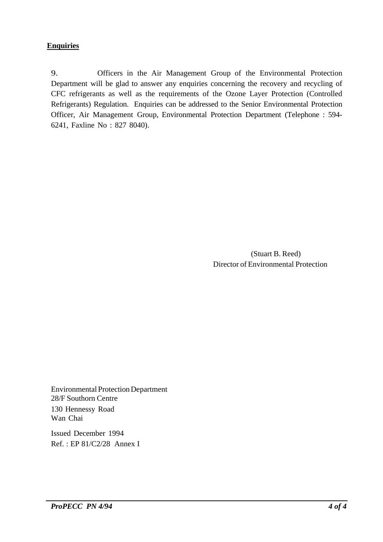## **Enquiries**

9. Officers in the Air Management Group of the Environmental Protection Department will be glad to answer any enquiries concerning the recovery and recycling of CFC refrigerants as well as the requirements of the Ozone Layer Protection (Controlled Refrigerants) Regulation. Enquiries can be addressed to the Senior Environmental Protection Officer, Air Management Group, Environmental Protection Department (Telephone : 594- 6241, Faxline No : 827 8040).

> (Stuart B. Reed) Director of Environmental Protection

Environmental ProtectionDepartment 28/F Southorn Centre 130 Hennessy Road Wan Chai

Issued December 1994 Ref. : EP 81/C2/28 Annex I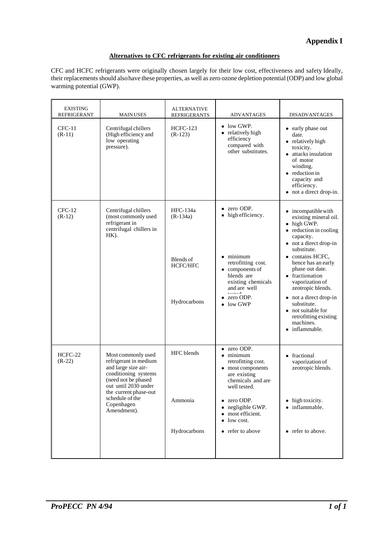# **Appendix I**

## **Alternatives to CFC refrigerants for existing air conditioners**

CFC and HCFC refrigerants were originally chosen largely for their low cost, effectiveness and safety Ideally, their replacements should also have these properties, as well as zero ozone depletion potential (ODP) and low global warming potential (GWP).

| <b>EXISTING</b><br>REFRIGERANT | <b>MAIN USES</b>                                                                                                                                                                                                   | <b>ALTERNATIVE</b><br><b>REFRIGERANTS</b>                       | <b>ADVANTAGES</b>                                                                                                                                                                                                  | <b>DISADVANTAGES</b>                                                                                                                                                                                                                                                                                                                                                                               |
|--------------------------------|--------------------------------------------------------------------------------------------------------------------------------------------------------------------------------------------------------------------|-----------------------------------------------------------------|--------------------------------------------------------------------------------------------------------------------------------------------------------------------------------------------------------------------|----------------------------------------------------------------------------------------------------------------------------------------------------------------------------------------------------------------------------------------------------------------------------------------------------------------------------------------------------------------------------------------------------|
| $CFC-11$<br>$(R-11)$           | Centrifugal chillers<br>(High efficiency and<br>low operating<br>pressure).                                                                                                                                        | HCFC-123<br>$(R-123)$                                           | low GWP.<br>$\bullet$<br>relatively high<br>efficiency<br>compared with<br>other substitutes.                                                                                                                      | • early phase out<br>date.<br>• relatively high<br>toxicity.<br>• attacks insulation<br>of motor<br>winding.<br>$\bullet$ reduction in<br>capacity and<br>efficiency.<br>not a direct drop-in.                                                                                                                                                                                                     |
| $CFC-12$<br>$(R-12)$           | Centrifugal chillers<br>(most commonly used<br>refrigerant in<br>centrifugal chillers in<br>$HK$ ).                                                                                                                | HFC-134a<br>$(R-134a)$<br>Blends of<br>HCFC/HFC<br>Hydrocarbons | zero ODP.<br>high efficiency.<br>$\bullet$ minimum<br>retrofitting cost.<br>$\bullet$ components of<br>blends are<br>existing chemicals<br>and are well<br>المستسلمة<br>zero ODP.<br>low GWP                       | $\bullet$ incompatible with<br>existing mineral oil.<br>• high GWP.<br>• reduction in cooling<br>capacity.<br>• not a direct drop-in<br>substitute.<br>• contains HCFC.<br>hence has an early<br>phase out date.<br>• fractionation<br>vaporization of<br>zeotropic blends.<br>• not a direct drop-in<br>substitute.<br>• not suitable for<br>retrofitting existing<br>machines.<br>• inflammable. |
| HCFC-22<br>$(R-22)$            | Most commonly used<br>refrigerant in medium<br>and large size air-<br>conditioning systems<br>(need not be phased<br>out until 2030 under<br>the current phase-out<br>schedule of the<br>Copenhagen<br>Amendment). | HFC blends<br>Ammonia<br>Hydrocarbons                           | • zero ODP.<br>$\bullet$ minimum<br>retrofitting cost.<br>• most components<br>are existing<br>chemicals and are<br>well tested.<br>zero ODP.<br>negligible GWP.<br>most efficient.<br>low cost.<br>refer to above | • fractional<br>vaporization of<br>zeotropic blends.<br>• high toxicity.<br>• inflammable.<br>• refer to above.                                                                                                                                                                                                                                                                                    |
|                                |                                                                                                                                                                                                                    |                                                                 |                                                                                                                                                                                                                    |                                                                                                                                                                                                                                                                                                                                                                                                    |